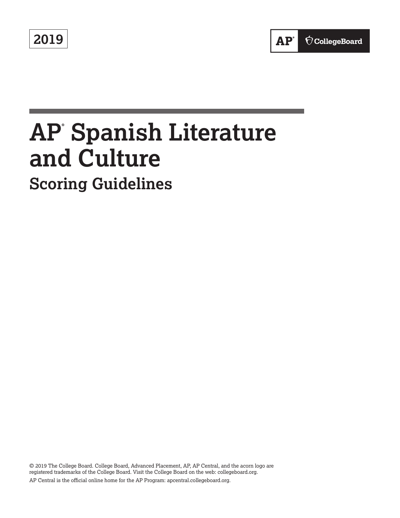**2019**



# **AP® Spanish Literature and Culture Scoring Guidelines**

© 2019 The College Board. College Board, Advanced Placement, AP, AP Central, and the acorn logo are registered trademarks of the College Board. Visit the College Board on the web: collegeboard.org. AP Central is the official online home for the AP Program: apcentral.collegeboard.org.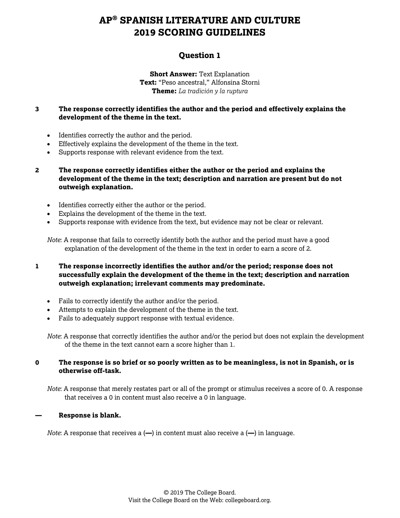### **Question 1**

**Short Answer:** Text Explanation **Text:** "Peso ancestral*,*" Alfonsina Storni **Theme:** *La tradición y la ruptura*

#### **3 The response correctly identifies the author and the period and effectively explains the development of the theme in the text.**

- Identifies correctly the author and the period.
- Effectively explains the development of the theme in the text.
- Supports response with relevant evidence from the text.
- **2 The response correctly identifies either the author or the period and explains the development of the theme in the text; description and narration are present but do not outweigh explanation.**
	- Identifies correctly either the author or the period.
	- Explains the development of the theme in the text.
	- Supports response with evidence from the text, but evidence may not be clear or relevant.

*Note*: A response that fails to correctly identify both the author and the period must have a good explanation of the development of the theme in the text in order to earn a score of 2.

#### **1 The response incorrectly identifies the author and/or the period; response does not successfully explain the development of the theme in the text; description and narration outweigh explanation; irrelevant comments may predominate.**

- Fails to correctly identify the author and/or the period.
- Attempts to explain the development of the theme in the text.
- Fails to adequately support response with textual evidence.

*Note*: A response that correctly identifies the author and/or the period but does not explain the development of the theme in the text cannot earn a score higher than 1.

#### **0 The response is so brief or so poorly written as to be meaningless, is not in Spanish, or is otherwise off-task.**

*Note*: A response that merely restates part or all of the prompt or stimulus receives a score of 0. A response that receives a 0 in content must also receive a 0 in language.

#### **— Response is blank.**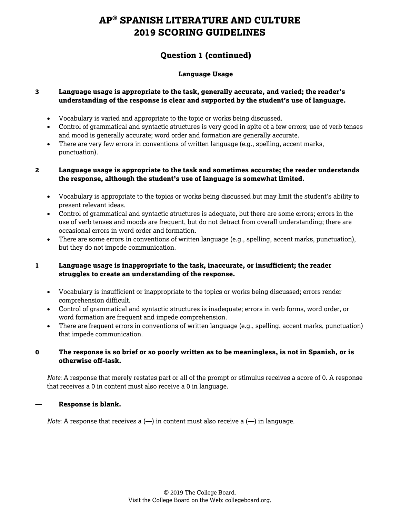## **Question 1 (continued)**

#### **Language Usage**

#### **3 Language usage is appropriate to the task, generally accurate, and varied; the reader's understanding of the response is clear and supported by the student's use of language.**

- Vocabulary is varied and appropriate to the topic or works being discussed.
- Control of grammatical and syntactic structures is very good in spite of a few errors; use of verb tenses and mood is generally accurate; word order and formation are generally accurate.
- There are very few errors in conventions of written language (e.g., spelling, accent marks, punctuation).

#### **2 Language usage is appropriate to the task and sometimes accurate; the reader understands the response, although the student's use of language is somewhat limited.**

- Vocabulary is appropriate to the topics or works being discussed but may limit the student's ability to present relevant ideas.
- Control of grammatical and syntactic structures is adequate, but there are some errors; errors in the use of verb tenses and moods are frequent, but do not detract from overall understanding; there are occasional errors in word order and formation.
- There are some errors in conventions of written language (e.g., spelling, accent marks, punctuation), but they do not impede communication.

#### **1 Language usage is inappropriate to the task, inaccurate, or insufficient; the reader struggles to create an understanding of the response.**

- Vocabulary is insufficient or inappropriate to the topics or works being discussed; errors render comprehension difficult.
- Control of grammatical and syntactic structures is inadequate; errors in verb forms, word order, or word formation are frequent and impede comprehension.
- There are frequent errors in conventions of written language (e.g., spelling, accent marks, punctuation) that impede communication.

#### **0 The response is so brief or so poorly written as to be meaningless, is not in Spanish, or is otherwise off-task.**

*Note*: A response that merely restates part or all of the prompt or stimulus receives a score of 0. A response that receives a 0 in content must also receive a 0 in language.

#### **— Response is blank.**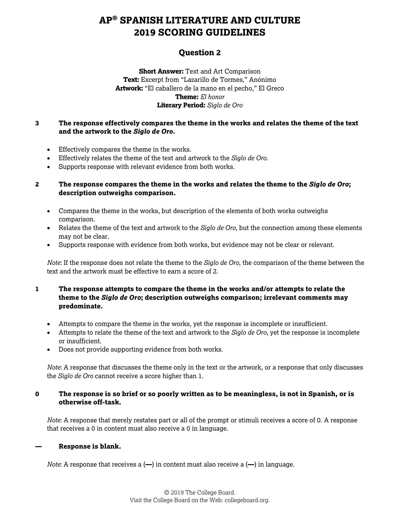## **Question 2**

**Short Answer:** Text and Art Comparison **Text:** Excerpt from "Lazarillo de Tormes," Anónimo **Artwork:** "El caballero de la mano en el pecho," El Greco **Theme:** *El honor* **Literary Period:** *Siglo de Oro*

#### **3 The response effectively compares the theme in the works and relates the theme of the text and the artwork to the** *Siglo de Oro.*

- Effectively compares the theme in the works.
- Effectively relates the theme of the text and artwork to the *Siglo de Oro*.
- Supports response with relevant evidence from both works.

#### **2 The response compares the theme in the works and relates the theme to the** *Siglo de Oro***; description outweighs comparison.**

- Compares the theme in the works, but description of the elements of both works outweighs comparison.
- Relates the theme of the text and artwork to the *Siglo de Oro*, but the connection among these elements may not be clear.
- Supports response with evidence from both works, but evidence may not be clear or relevant.

*Note*: If the response does not relate the theme to the *Siglo de Oro*, the comparison of the theme between the text and the artwork must be effective to earn a score of 2.

#### **1 The response attempts to compare the theme in the works and/or attempts to relate the theme to the** *Siglo de Oro***; description outweighs comparison; irrelevant comments may predominate.**

- Attempts to compare the theme in the works, yet the response is incomplete or insufficient.
- Attempts to relate the theme of the text and artwork to the *Siglo de Oro*, yet the response is incomplete or insufficient.
- Does not provide supporting evidence from both works.

*Note*: A response that discusses the theme only in the text or the artwork, or a response that only discusses the *Siglo de Oro* cannot receive a score higher than 1.

#### **0 The response is so brief or so poorly written as to be meaningless, is not in Spanish, or is otherwise off-task.**

*Note*: A response that merely restates part or all of the prompt or stimuli receives a score of 0. A response that receives a 0 in content must also receive a 0 in language.

#### **— Response is blank.**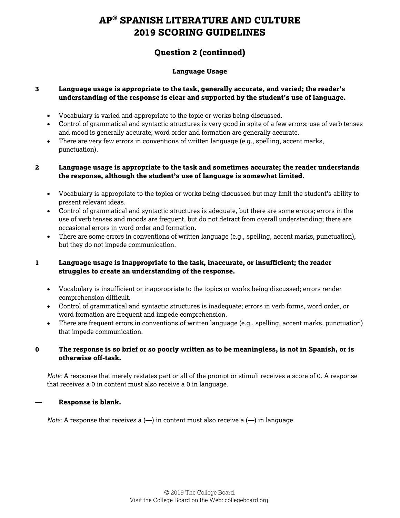## **Question 2 (continued)**

#### **Language Usage**

#### **3 Language usage is appropriate to the task, generally accurate, and varied; the reader's understanding of the response is clear and supported by the student's use of language.**

- Vocabulary is varied and appropriate to the topic or works being discussed.
- Control of grammatical and syntactic structures is very good in spite of a few errors; use of verb tenses and mood is generally accurate; word order and formation are generally accurate.
- There are very few errors in conventions of written language (e.g., spelling, accent marks, punctuation).

#### **2 Language usage is appropriate to the task and sometimes accurate; the reader understands the response, although the student's use of language is somewhat limited.**

- Vocabulary is appropriate to the topics or works being discussed but may limit the student's ability to present relevant ideas.
- Control of grammatical and syntactic structures is adequate, but there are some errors; errors in the use of verb tenses and moods are frequent, but do not detract from overall understanding; there are occasional errors in word order and formation.
- There are some errors in conventions of written language (e.g., spelling, accent marks, punctuation), but they do not impede communication.

#### **1 Language usage is inappropriate to the task, inaccurate, or insufficient; the reader struggles to create an understanding of the response.**

- Vocabulary is insufficient or inappropriate to the topics or works being discussed; errors render comprehension difficult.
- Control of grammatical and syntactic structures is inadequate; errors in verb forms, word order, or word formation are frequent and impede comprehension.
- There are frequent errors in conventions of written language (e.g., spelling, accent marks, punctuation) that impede communication.

#### **0 The response is so brief or so poorly written as to be meaningless, is not in Spanish, or is otherwise off-task.**

*Note*: A response that merely restates part or all of the prompt or stimuli receives a score of 0. A response that receives a 0 in content must also receive a 0 in language.

#### **— Response is blank.**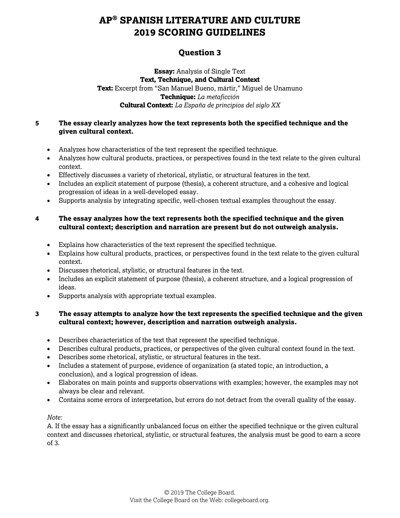## **Question 3**

**Essay:** Analysis of Single Text **Text, Technique, and Cultural Context Text:** Excerpt from "San Manuel Bueno, mártir," Miguel de Unamuno **Technique:** *La metaficción* **Cultural Context:** *La España de principios del siglo XX*

#### **5 The essay clearly analyzes how the text represents both the specified technique and the given cultural context.**

- Analyzes how characteristics of the text represent the specified technique.
- Analyzes how cultural products, practices, or perspectives found in the text relate to the given cultural context.
- Effectively discusses a variety of rhetorical, stylistic, or structural features in the text.
- Includes an explicit statement of purpose (thesis), a coherent structure, and a cohesive and logical progression of ideas in a well-developed essay.
- Supports analysis by integrating specific, well-chosen textual examples throughout the essay.

#### **4 The essay analyzes how the text represents both the specified technique and the given cultural context; description and narration are present but do not outweigh analysis.**

- Explains how characteristics of the text represent the specified technique.
- Explains how cultural products, practices, or perspectives found in the text relate to the given cultural context.
- Discusses rhetorical, stylistic, or structural features in the text.
- Includes an explicit statement of purpose (thesis), a coherent structure, and a logical progression of ideas.
- Supports analysis with appropriate textual examples.

#### **3 The essay attempts to analyze how the text represents the specified technique and the given cultural context; however, description and narration outweigh analysis.**

- Describes characteristics of the text that represent the specified technique.
- Describes cultural products, practices, or perspectives of the given cultural context found in the text.
- Describes some rhetorical, stylistic, or structural features in the text.
- Includes a statement of purpose, evidence of organization (a stated topic, an introduction, a conclusion), and a logical progression of ideas.
- Elaborates on main points and supports observations with examples; however, the examples may not always be clear and relevant.
- Contains some errors of interpretation, but errors do not detract from the overall quality of the essay.

#### *Note:*

A. If the essay has a significantly unbalanced focus on either the specified technique or the given cultural context and discusses rhetorical, stylistic, or structural features, the analysis must be good to earn a score of 3.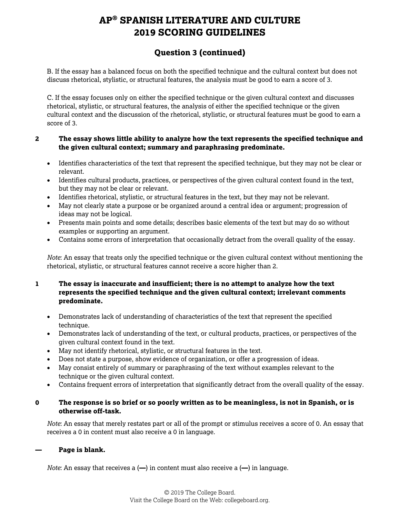## **Question 3 (continued)**

B. If the essay has a balanced focus on both the specified technique and the cultural context but does not discuss rhetorical, stylistic, or structural features, the analysis must be good to earn a score of 3.

C. If the essay focuses only on either the specified technique or the given cultural context and discusses rhetorical, stylistic, or structural features, the analysis of either the specified technique or the given cultural context and the discussion of the rhetorical, stylistic, or structural features must be good to earn a score of 3.

#### **2 The essay shows little ability to analyze how the text represents the specified technique and the given cultural context; summary and paraphrasing predominate.**

- Identifies characteristics of the text that represent the specified technique, but they may not be clear or relevant.
- Identifies cultural products, practices, or perspectives of the given cultural context found in the text, but they may not be clear or relevant.
- Identifies rhetorical, stylistic, or structural features in the text, but they may not be relevant.
- May not clearly state a purpose or be organized around a central idea or argument; progression of ideas may not be logical.
- Presents main points and some details; describes basic elements of the text but may do so without examples or supporting an argument.
- Contains some errors of interpretation that occasionally detract from the overall quality of the essay.

*Note*: An essay that treats only the specified technique or the given cultural context without mentioning the rhetorical, stylistic, or structural features cannot receive a score higher than 2.

#### **1 The essay is inaccurate and insufficient; there is no attempt to analyze how the text represents the specified technique and the given cultural context; irrelevant comments predominate.**

- Demonstrates lack of understanding of characteristics of the text that represent the specified technique.
- Demonstrates lack of understanding of the text, or cultural products, practices, or perspectives of the given cultural context found in the text.
- May not identify rhetorical, stylistic, or structural features in the text.
- Does not state a purpose, show evidence of organization, or offer a progression of ideas.
- May consist entirely of summary or paraphrasing of the text without examples relevant to the technique or the given cultural context.
- Contains frequent errors of interpretation that significantly detract from the overall quality of the essay.

#### **0 The response is so brief or so poorly written as to be meaningless, is not in Spanish, or is otherwise off-task.**

*Note*: An essay that merely restates part or all of the prompt or stimulus receives a score of 0. An essay that receives a 0 in content must also receive a 0 in language.

#### **— Page is blank.**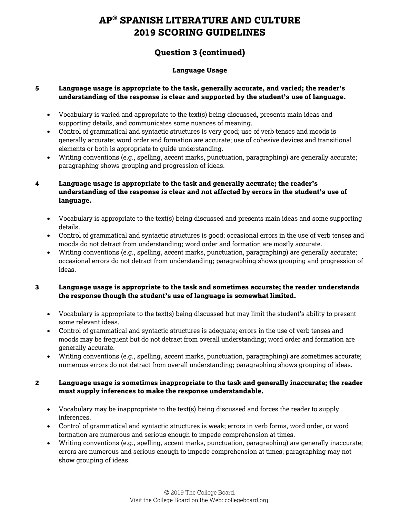## **Question 3 (continued)**

#### **Language Usage**

#### **5 Language usage is appropriate to the task, generally accurate, and varied; the reader's understanding of the response is clear and supported by the student's use of language.**

- Vocabulary is varied and appropriate to the text(s) being discussed, presents main ideas and supporting details, and communicates some nuances of meaning.
- Control of grammatical and syntactic structures is very good; use of verb tenses and moods is generally accurate; word order and formation are accurate; use of cohesive devices and transitional elements or both is appropriate to guide understanding.
- Writing conventions (e.g., spelling, accent marks, punctuation, paragraphing) are generally accurate; paragraphing shows grouping and progression of ideas.
- **4 Language usage is appropriate to the task and generally accurate; the reader's understanding of the response is clear and not affected by errors in the student's use of language.**
	- Vocabulary is appropriate to the text(s) being discussed and presents main ideas and some supporting details.
	- Control of grammatical and syntactic structures is good; occasional errors in the use of verb tenses and moods do not detract from understanding; word order and formation are mostly accurate.
	- Writing conventions (e.g., spelling, accent marks, punctuation, paragraphing) are generally accurate; occasional errors do not detract from understanding; paragraphing shows grouping and progression of ideas.

#### **3 Language usage is appropriate to the task and sometimes accurate; the reader understands the response though the student's use of language is somewhat limited.**

- Vocabulary is appropriate to the text(s) being discussed but may limit the student's ability to present some relevant ideas.
- Control of grammatical and syntactic structures is adequate; errors in the use of verb tenses and moods may be frequent but do not detract from overall understanding; word order and formation are generally accurate.
- Writing conventions (e.g., spelling, accent marks, punctuation, paragraphing) are sometimes accurate; numerous errors do not detract from overall understanding; paragraphing shows grouping of ideas.

#### **2 Language usage is sometimes inappropriate to the task and generally inaccurate; the reader must supply inferences to make the response understandable.**

- Vocabulary may be inappropriate to the text(s) being discussed and forces the reader to supply inferences.
- Control of grammatical and syntactic structures is weak; errors in verb forms, word order, or word formation are numerous and serious enough to impede comprehension at times.
- Writing conventions (e.g., spelling, accent marks, punctuation, paragraphing) are generally inaccurate; errors are numerous and serious enough to impede comprehension at times; paragraphing may not show grouping of ideas.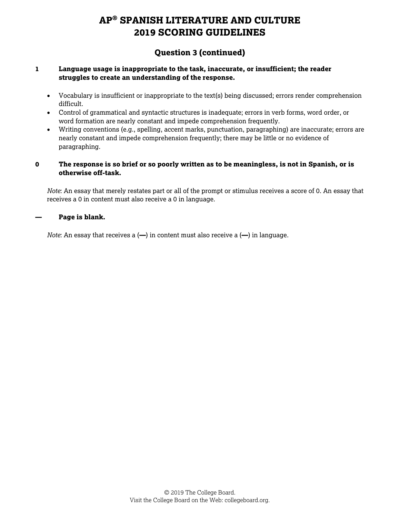## **Question 3 (continued)**

#### **1 Language usage is inappropriate to the task, inaccurate, or insufficient; the reader struggles to create an understanding of the response.**

- Vocabulary is insufficient or inappropriate to the text(s) being discussed; errors render comprehension difficult.
- Control of grammatical and syntactic structures is inadequate; errors in verb forms, word order, or word formation are nearly constant and impede comprehension frequently.
- Writing conventions (e.g., spelling, accent marks, punctuation, paragraphing) are inaccurate; errors are nearly constant and impede comprehension frequently; there may be little or no evidence of paragraphing.

#### **0 The response is so brief or so poorly written as to be meaningless, is not in Spanish, or is otherwise off-task.**

*Note*: An essay that merely restates part or all of the prompt or stimulus receives a score of 0. An essay that receives a 0 in content must also receive a 0 in language.

#### **— Page is blank.**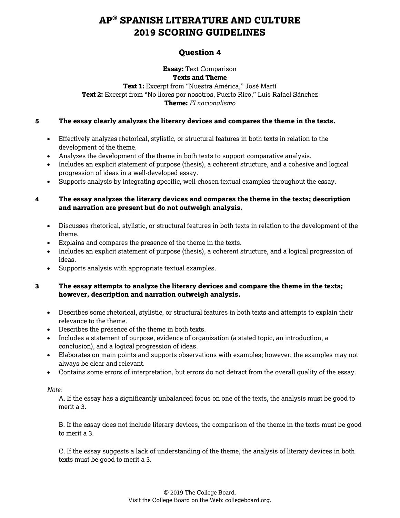## **Question 4**

#### **Essay:** Text Comparison **Texts and Theme**

**Text 1:** Excerpt from "Nuestra América," José Martí **Text 2:** Excerpt from "No llores por nosotros, Puerto Rico," Luis Rafael Sánchez **Theme:** *El nacionalismo*

#### **5 The essay clearly analyzes the literary devices and compares the theme in the texts.**

- Effectively analyzes rhetorical, stylistic, or structural features in both texts in relation to the development of the theme.
- Analyzes the development of the theme in both texts to support comparative analysis.
- Includes an explicit statement of purpose (thesis), a coherent structure, and a cohesive and logical progression of ideas in a well-developed essay.
- Supports analysis by integrating specific, well-chosen textual examples throughout the essay.

#### **4 The essay analyzes the literary devices and compares the theme in the texts; description and narration are present but do not outweigh analysis.**

- Discusses rhetorical, stylistic, or structural features in both texts in relation to the development of the theme.
- Explains and compares the presence of the theme in the texts.
- Includes an explicit statement of purpose (thesis), a coherent structure, and a logical progression of ideas.
- Supports analysis with appropriate textual examples.

#### **3 The essay attempts to analyze the literary devices and compare the theme in the texts; however, description and narration outweigh analysis.**

- Describes some rhetorical, stylistic, or structural features in both texts and attempts to explain their relevance to the theme.
- Describes the presence of the theme in both texts.
- Includes a statement of purpose, evidence of organization (a stated topic, an introduction, a conclusion), and a logical progression of ideas.
- Elaborates on main points and supports observations with examples; however, the examples may not always be clear and relevant.
- Contains some errors of interpretation, but errors do not detract from the overall quality of the essay.

#### *Note*:

A. If the essay has a significantly unbalanced focus on one of the texts, the analysis must be good to merit a 3.

B. If the essay does not include literary devices, the comparison of the theme in the texts must be good to merit a 3.

C. If the essay suggests a lack of understanding of the theme, the analysis of literary devices in both texts must be good to merit a 3.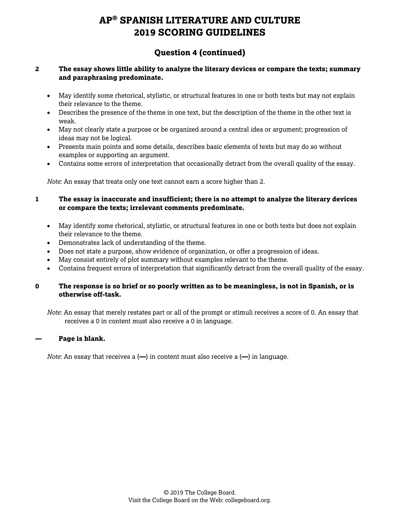## **Question 4 (continued)**

#### **2 The essay shows little ability to analyze the literary devices or compare the texts; summary and paraphrasing predominate.**

- May identify some rhetorical, stylistic, or structural features in one or both texts but may not explain their relevance to the theme.
- Describes the presence of the theme in one text, but the description of the theme in the other text is weak.
- May not clearly state a purpose or be organized around a central idea or argument; progression of ideas may not be logical.
- Presents main points and some details, describes basic elements of texts but may do so without examples or supporting an argument.
- Contains some errors of interpretation that occasionally detract from the overall quality of the essay.

*Note*: An essay that treats only one text cannot earn a score higher than 2.

**1 The essay is inaccurate and insufficient; there is no attempt to analyze the literary devices or compare the texts; irrelevant comments predominate.**

- May identify some rhetorical, stylistic, or structural features in one or both texts but does not explain their relevance to the theme.
- Demonstrates lack of understanding of the theme.
- Does not state a purpose, show evidence of organization, or offer a progression of ideas.
- May consist entirely of plot summary without examples relevant to the theme.
- Contains frequent errors of interpretation that significantly detract from the overall quality of the essay.

#### **0 The response is so brief or so poorly written as to be meaningless, is not in Spanish, or is otherwise off-task.**

*Note*: An essay that merely restates part or all of the prompt or stimuli receives a score of 0. An essay that receives a 0 in content must also receive a 0 in language.

#### **— Page is blank.**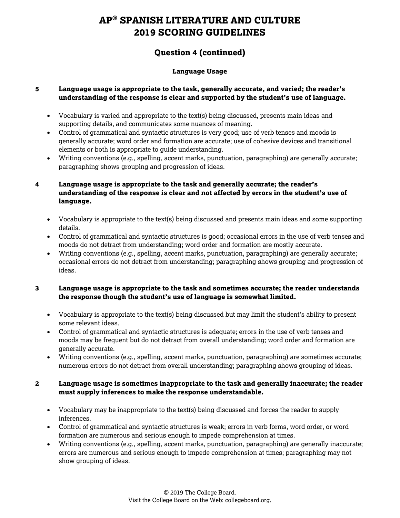## **Question 4 (continued)**

#### **Language Usage**

#### **5 Language usage is appropriate to the task, generally accurate, and varied; the reader's understanding of the response is clear and supported by the student's use of language.**

- Vocabulary is varied and appropriate to the text(s) being discussed, presents main ideas and supporting details, and communicates some nuances of meaning.
- Control of grammatical and syntactic structures is very good; use of verb tenses and moods is generally accurate; word order and formation are accurate; use of cohesive devices and transitional elements or both is appropriate to guide understanding.
- Writing conventions (e.g., spelling, accent marks, punctuation, paragraphing) are generally accurate; paragraphing shows grouping and progression of ideas.
- **4 Language usage is appropriate to the task and generally accurate; the reader's understanding of the response is clear and not affected by errors in the student's use of language.**
	- Vocabulary is appropriate to the text(s) being discussed and presents main ideas and some supporting details.
	- Control of grammatical and syntactic structures is good; occasional errors in the use of verb tenses and moods do not detract from understanding; word order and formation are mostly accurate.
	- Writing conventions (e.g., spelling, accent marks, punctuation, paragraphing) are generally accurate; occasional errors do not detract from understanding; paragraphing shows grouping and progression of ideas.

#### **3 Language usage is appropriate to the task and sometimes accurate; the reader understands the response though the student's use of language is somewhat limited.**

- Vocabulary is appropriate to the text(s) being discussed but may limit the student's ability to present some relevant ideas.
- Control of grammatical and syntactic structures is adequate; errors in the use of verb tenses and moods may be frequent but do not detract from overall understanding; word order and formation are generally accurate.
- Writing conventions (e.g., spelling, accent marks, punctuation, paragraphing) are sometimes accurate; numerous errors do not detract from overall understanding; paragraphing shows grouping of ideas.

#### **2 Language usage is sometimes inappropriate to the task and generally inaccurate; the reader must supply inferences to make the response understandable.**

- Vocabulary may be inappropriate to the text(s) being discussed and forces the reader to supply inferences.
- Control of grammatical and syntactic structures is weak; errors in verb forms, word order, or word formation are numerous and serious enough to impede comprehension at times.
- Writing conventions (e.g., spelling, accent marks, punctuation, paragraphing) are generally inaccurate; errors are numerous and serious enough to impede comprehension at times; paragraphing may not show grouping of ideas.